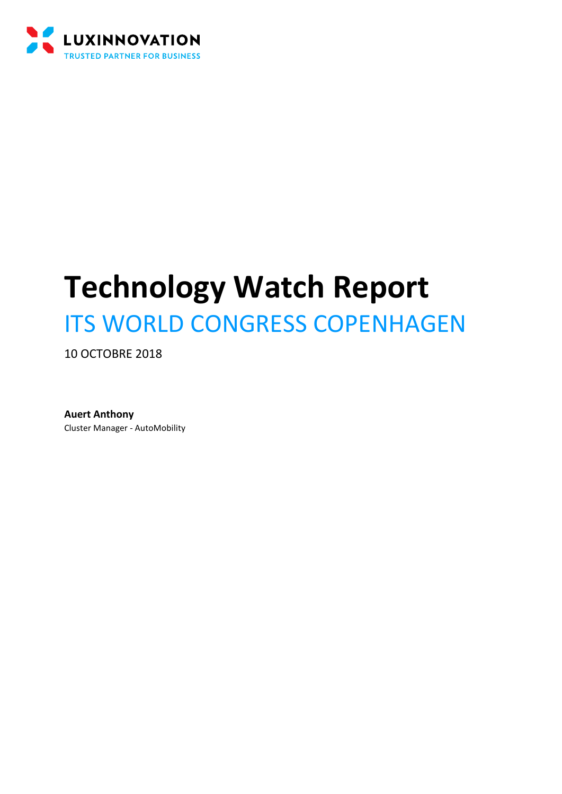

# **Technology Watch Report** ITS WORLD CONGRESS COPENHAGEN

10 OCTOBRE 2018

**Auert Anthony** Cluster Manager - AutoMobility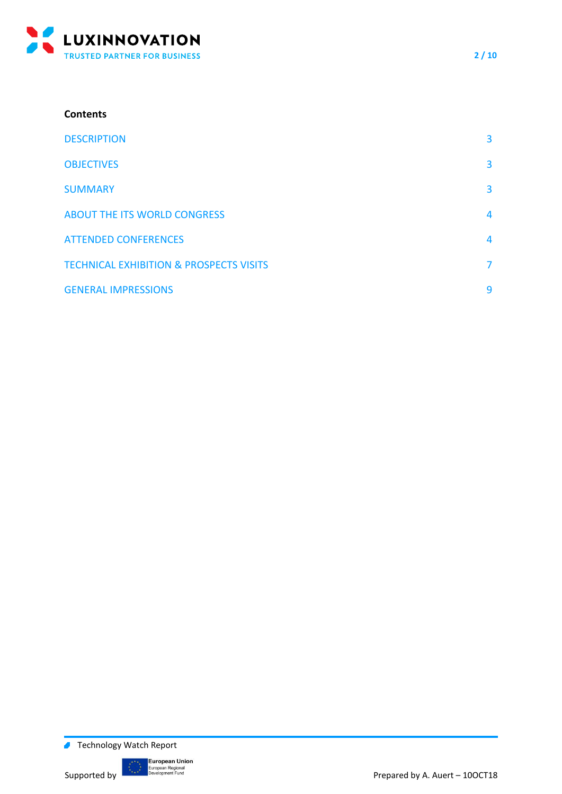

## **Contents**

| <b>DESCRIPTION</b>                                 | 3              |
|----------------------------------------------------|----------------|
| <b>OBJECTIVES</b>                                  | 3              |
| <b>SUMMARY</b>                                     | 3              |
| <b>ABOUT THE ITS WORLD CONGRESS</b>                | $\overline{4}$ |
| <b>ATTENDED CONFERENCES</b>                        | $\overline{4}$ |
| <b>TECHNICAL EXHIBITION &amp; PROSPECTS VISITS</b> | $\overline{7}$ |
| <b>GENERAL IMPRESSIONS</b>                         | 9              |



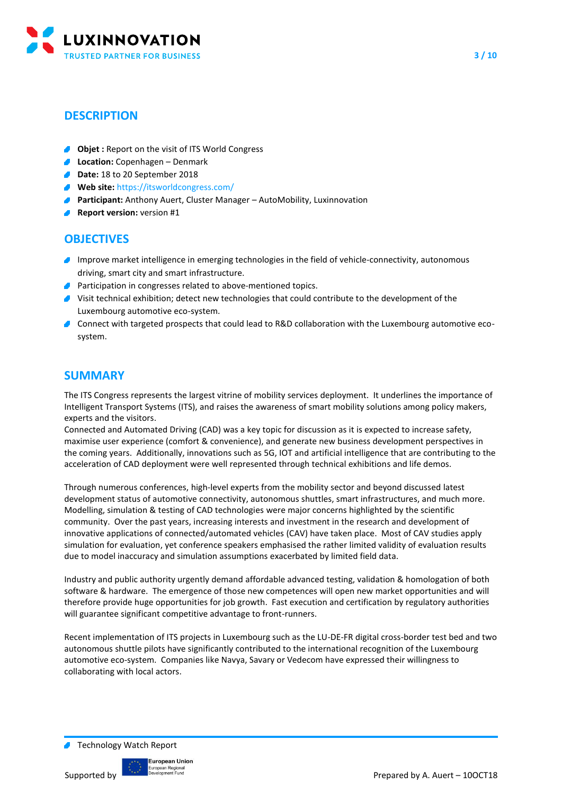

# <span id="page-2-0"></span>**DESCRIPTION**

- **C** Objet : Report on the visit of ITS World Congress
- **Location:** Copenhagen Denmark
- **Date: 18 to 20 September 2018**
- **Web site:** <https://itsworldcongress.com/>
- **Participant:** Anthony Auert, Cluster Manager AutoMobility, Luxinnovation
- <span id="page-2-1"></span>**Report version:** version #1

# **OBJECTIVES**

- **Improve market intelligence in emerging technologies in the field of vehicle-connectivity, autonomous** driving, smart city and smart infrastructure.
- **Participation in congresses related to above-mentioned topics.**
- Visit technical exhibition; detect new technologies that could contribute to the development of the Luxembourg automotive eco-system.
- **Connect with targeted prospects that could lead to R&D collaboration with the Luxembourg automotive eco**system.

# <span id="page-2-2"></span>**SUMMARY**

The ITS Congress represents the largest vitrine of mobility services deployment. It underlines the importance of Intelligent Transport Systems (ITS), and raises the awareness of smart mobility solutions among policy makers, experts and the visitors.

Connected and Automated Driving (CAD) was a key topic for discussion as it is expected to increase safety, maximise user experience (comfort & convenience), and generate new business development perspectives in the coming years. Additionally, innovations such as 5G, IOT and artificial intelligence that are contributing to the acceleration of CAD deployment were well represented through technical exhibitions and life demos.

Through numerous conferences, high-level experts from the mobility sector and beyond discussed latest development status of automotive connectivity, autonomous shuttles, smart infrastructures, and much more. Modelling, simulation & testing of CAD technologies were major concerns highlighted by the scientific community. Over the past years, increasing interests and investment in the research and development of innovative applications of connected/automated vehicles (CAV) have taken place. Most of CAV studies apply simulation for evaluation, yet conference speakers emphasised the rather limited validity of evaluation results due to model inaccuracy and simulation assumptions exacerbated by limited field data.

Industry and public authority urgently demand affordable advanced testing, validation & homologation of both software & hardware. The emergence of those new competences will open new market opportunities and will therefore provide huge opportunities for job growth. Fast execution and certification by regulatory authorities will guarantee significant competitive advantage to front-runners.

Recent implementation of ITS projects in Luxembourg such as the LU-DE-FR digital cross-border test bed and two autonomous shuttle pilots have significantly contributed to the international recognition of the Luxembourg automotive eco-system. Companies like Navya, Savary or Vedecom have expressed their willingness to collaborating with local actors.

<sup>●</sup> Technology Watch Report

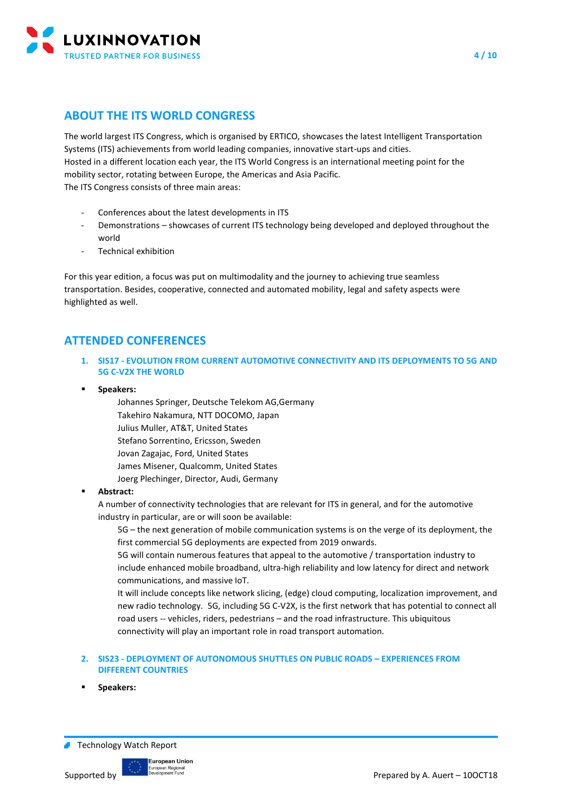

# <span id="page-3-0"></span>**ABOUT THE ITS WORLD CONGRESS**

The world largest ITS Congress, which is organised by ERTICO, showcases the latest Intelligent Transportation Systems (ITS) achievements from world leading companies, innovative start-ups and cities. Hosted in a different location each year, the ITS World Congress is an international meeting point for the mobility sector, rotating between Europe, the Americas and Asia Pacific. The ITS Congress consists of three main areas:

- Conferences about the latest developments in ITS
- Demonstrations showcases of current ITS technology being developed and deployed throughout the world
- Technical exhibition

For this year edition, a focus was put on multimodality and the journey to achieving true seamless transportation. Besides, cooperative, connected and automated mobility, legal and safety aspects were highlighted as well.

# <span id="page-3-1"></span>**ATTENDED CONFERENCES**

- **1. SIS17 - EVOLUTION FROM CURRENT AUTOMOTIVE CONNECTIVITY AND ITS DEPLOYMENTS TO 5G AND 5G C-V2X THE WORLD**
- Speakers:

Johannes Springer, Deutsche Telekom AG,Germany Takehiro Nakamura, NTT DOCOMO, Japan Julius Muller, AT&T, United States Stefano Sorrentino, Ericsson, Sweden Jovan Zagajac, Ford, United States James Misener, Qualcomm, United States Joerg Plechinger, Director, Audi, Germany

Abstract:

A number of connectivity technologies that are relevant for ITS in general, and for the automotive industry in particular, are or will soon be available:

5G – the next generation of mobile communication systems is on the verge of its deployment, the first commercial 5G deployments are expected from 2019 onwards.

5G will contain numerous features that appeal to the automotive / transportation industry to include enhanced mobile broadband, ultra-high reliability and low latency for direct and network communications, and massive IoT.

It will include concepts like network slicing, (edge) cloud computing, localization improvement, and new radio technology. 5G, including 5G C-V2X, is the first network that has potential to connect all road users -- vehicles, riders, pedestrians – and the road infrastructure. This ubiquitous connectivity will play an important role in road transport automation.

## **2. SIS23 - DEPLOYMENT OF AUTONOMOUS SHUTTLES ON PUBLIC ROADS – EXPERIENCES FROM DIFFERENT COUNTRIES**

▪ **Speakers:**

● Technology Watch Report

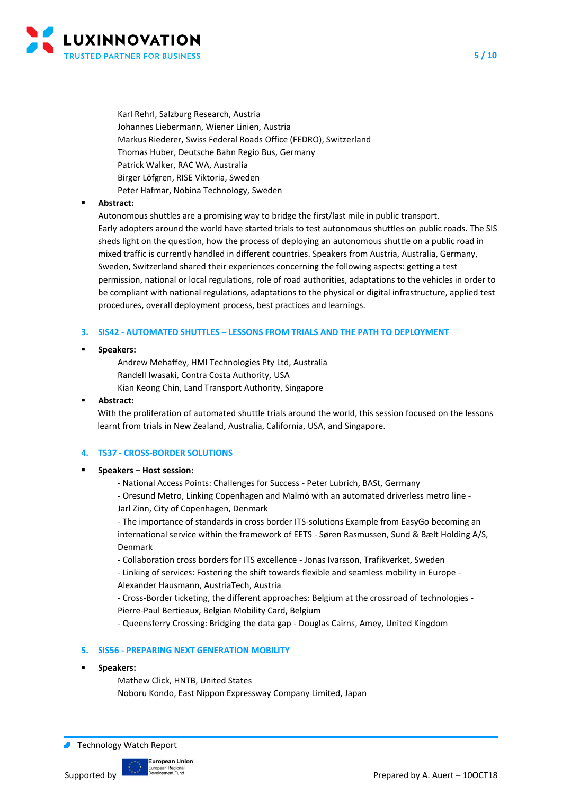

Karl Rehrl, Salzburg Research, Austria Johannes Liebermann, Wiener Linien, Austria Markus Riederer, Swiss Federal Roads Office (FEDRO), Switzerland Thomas Huber, Deutsche Bahn Regio Bus, Germany Patrick Walker, RAC WA, Australia Birger Löfgren, RISE Viktoria, Sweden Peter Hafmar, Nobina Technology, Sweden

## Abstract:

Autonomous shuttles are a promising way to bridge the first/last mile in public transport. Early adopters around the world have started trials to test autonomous shuttles on public roads. The SIS sheds light on the question, how the process of deploying an autonomous shuttle on a public road in mixed traffic is currently handled in different countries. Speakers from Austria, Australia, Germany, Sweden, Switzerland shared their experiences concerning the following aspects: getting a test permission, national or local regulations, role of road authorities, adaptations to the vehicles in order to be compliant with national regulations, adaptations to the physical or digital infrastructure, applied test procedures, overall deployment process, best practices and learnings.

## **3. SIS42 - AUTOMATED SHUTTLES – LESSONS FROM TRIALS AND THE PATH TO DEPLOYMENT**

Speakers:

Andrew Mehaffey, HMI Technologies Pty Ltd, Australia Randell Iwasaki, Contra Costa Authority, USA Kian Keong Chin, Land Transport Authority, Singapore

Abstract:

With the proliferation of automated shuttle trials around the world, this session focused on the lessons learnt from trials in New Zealand, Australia, California, USA, and Singapore.

## **4. TS37 - CROSS-BORDER SOLUTIONS**

- **Speakers – Host session:**
	- National Access Points: Challenges for Success Peter Lubrich, BASt, Germany - Oresund Metro, Linking Copenhagen and Malmö with an automated driverless metro line - Jarl Zinn, City of Copenhagen, Denmark

- The importance of standards in cross border ITS-solutions Example from EasyGo becoming an international service within the framework of EETS - Søren Rasmussen, Sund & Bælt Holding A/S, Denmark

- Collaboration cross borders for ITS excellence - Jonas Ivarsson, Trafikverket, Sweden

- Linking of services: Fostering the shift towards flexible and seamless mobility in Europe - Alexander Hausmann, AustriaTech, Austria

- Cross-Border ticketing, the different approaches: Belgium at the crossroad of technologies -

- Pierre-Paul Bertieaux, Belgian Mobility Card, Belgium
- Queensferry Crossing: Bridging the data gap Douglas Cairns, Amey, United Kingdom

## **5. SIS56 - PREPARING NEXT GENERATION MOBILITY**

▪ **Speakers:**

Mathew Click, HNTB, United States Noboru Kondo, East Nippon Expressway Company Limited, Japan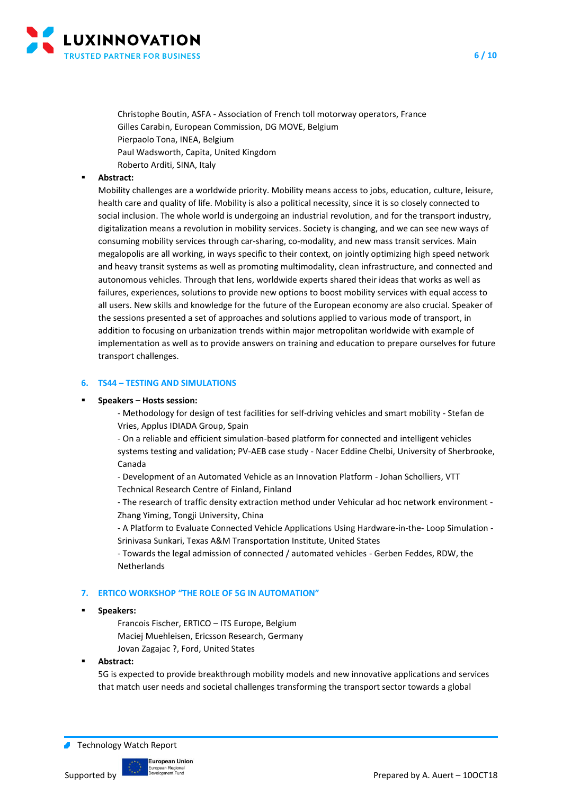

Christophe Boutin, ASFA - Association of French toll motorway operators, France Gilles Carabin, European Commission, DG MOVE, Belgium Pierpaolo Tona, INEA, Belgium Paul Wadsworth, Capita, United Kingdom Roberto Arditi, SINA, Italy

## Abstract:

Mobility challenges are a worldwide priority. Mobility means access to jobs, education, culture, leisure, health care and quality of life. Mobility is also a political necessity, since it is so closely connected to social inclusion. The whole world is undergoing an industrial revolution, and for the transport industry, digitalization means a revolution in mobility services. Society is changing, and we can see new ways of consuming mobility services through car-sharing, co-modality, and new mass transit services. Main megalopolis are all working, in ways specific to their context, on jointly optimizing high speed network and heavy transit systems as well as promoting multimodality, clean infrastructure, and connected and autonomous vehicles. Through that lens, worldwide experts shared their ideas that works as well as failures, experiences, solutions to provide new options to boost mobility services with equal access to all users. New skills and knowledge for the future of the European economy are also crucial. Speaker of the sessions presented a set of approaches and solutions applied to various mode of transport, in addition to focusing on urbanization trends within major metropolitan worldwide with example of implementation as well as to provide answers on training and education to prepare ourselves for future transport challenges.

#### **6. TS44 – TESTING AND SIMULATIONS**

#### ▪ **Speakers – Hosts session:**

- Methodology for design of test facilities for self-driving vehicles and smart mobility - Stefan de Vries, Applus IDIADA Group, Spain

- On a reliable and efficient simulation-based platform for connected and intelligent vehicles systems testing and validation; PV-AEB case study - Nacer Eddine Chelbi, University of Sherbrooke, Canada

- Development of an Automated Vehicle as an Innovation Platform - Johan Scholliers, VTT Technical Research Centre of Finland, Finland

- The research of traffic density extraction method under Vehicular ad hoc network environment - Zhang Yiming, Tongji University, China

- A Platform to Evaluate Connected Vehicle Applications Using Hardware-in-the- Loop Simulation - Srinivasa Sunkari, Texas A&M Transportation Institute, United States

- Towards the legal admission of connected / automated vehicles - Gerben Feddes, RDW, the **Netherlands** 

#### **7. ERTICO WORKSHOP "THE ROLE OF 5G IN AUTOMATION"**

#### ▪ **Speakers:**

Francois Fischer, ERTICO – ITS Europe, Belgium Maciej Muehleisen, Ericsson Research, Germany Jovan Zagajac ?, Ford, United States

Abstract:

5G is expected to provide breakthrough mobility models and new innovative applications and services that match user needs and societal challenges transforming the transport sector towards a global

● Technology Watch Report



**European Union**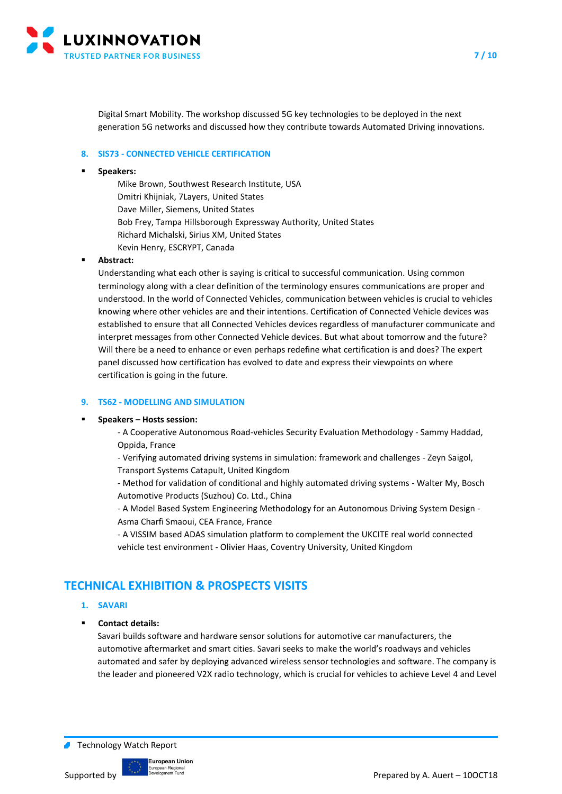

Digital Smart Mobility. The workshop discussed 5G key technologies to be deployed in the next generation 5G networks and discussed how they contribute towards Automated Driving innovations.

#### **8. SIS73 - CONNECTED VEHICLE CERTIFICATION**

#### ▪ **Speakers:**

Mike Brown, Southwest Research Institute, USA Dmitri Khijniak, 7Layers, United States Dave Miller, Siemens, United States Bob Frey, Tampa Hillsborough Expressway Authority, United States Richard Michalski, Sirius XM, United States Kevin Henry, ESCRYPT, Canada

#### Abstract:

Understanding what each other is saying is critical to successful communication. Using common terminology along with a clear definition of the terminology ensures communications are proper and understood. In the world of Connected Vehicles, communication between vehicles is crucial to vehicles knowing where other vehicles are and their intentions. Certification of Connected Vehicle devices was established to ensure that all Connected Vehicles devices regardless of manufacturer communicate and interpret messages from other Connected Vehicle devices. But what about tomorrow and the future? Will there be a need to enhance or even perhaps redefine what certification is and does? The expert panel discussed how certification has evolved to date and express their viewpoints on where certification is going in the future.

#### **9. TS62 - MODELLING AND SIMULATION**

#### ▪ **Speakers – Hosts session:**

- A Cooperative Autonomous Road-vehicles Security Evaluation Methodology - Sammy Haddad, Oppida, France

- Verifying automated driving systems in simulation: framework and challenges - Zeyn Saigol, Transport Systems Catapult, United Kingdom

- Method for validation of conditional and highly automated driving systems - Walter My, Bosch Automotive Products (Suzhou) Co. Ltd., China

- A Model Based System Engineering Methodology for an Autonomous Driving System Design - Asma Charfi Smaoui, CEA France, France

- A VISSIM based ADAS simulation platform to complement the UKCITE real world connected vehicle test environment - Olivier Haas, Coventry University, United Kingdom

# <span id="page-6-0"></span>**TECHNICAL EXHIBITION & PROSPECTS VISITS**

## **1. SAVARI**

#### ▪ **Contact details:**

Savari builds software and hardware sensor solutions for automotive car manufacturers, the automotive aftermarket and smart cities. Savari seeks to make the world's roadways and vehicles automated and safer by deploying advanced wireless sensor technologies and software. The company is the leader and pioneered V2X radio technology, which is crucial for vehicles to achieve Level 4 and Level

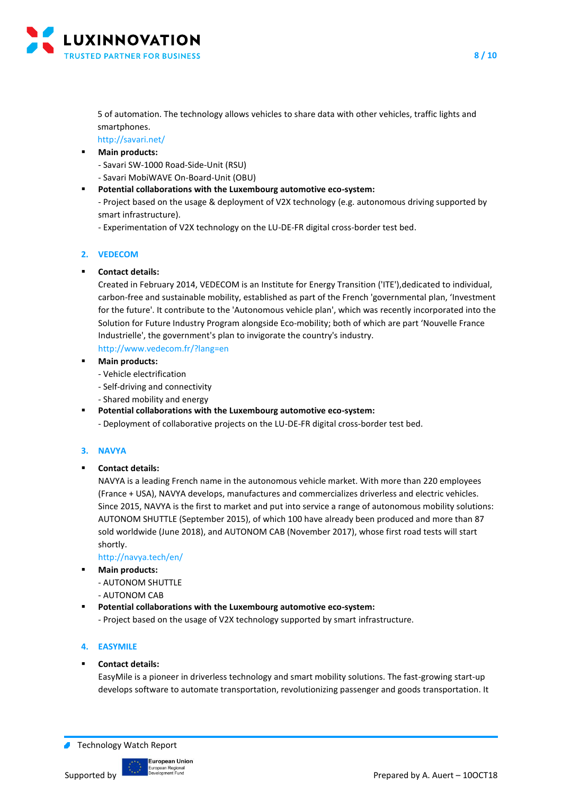

5 of automation. The technology allows vehicles to share data with other vehicles, traffic lights and smartphones.

<http://savari.net/>

- **Main products:** 
	- Savari SW-1000 Road-Side-Unit (RSU)
	- Savari MobiWAVE On-Board-Unit (OBU)
- **Potential collaborations with the Luxembourg automotive eco-system:**

- Project based on the usage & deployment of V2X technology (e.g. autonomous driving supported by smart infrastructure).

- Experimentation of V2X technology on the LU-DE-FR digital cross-border test bed.

## **2. VEDECOM**

## ▪ **Contact details:**

Created in February 2014, VEDECOM is an Institute for Energy Transition ('ITE'),dedicated to individual, carbon-free and sustainable mobility, established as part of the French 'governmental plan, 'Investment for the future'. It contribute to the 'Autonomous vehicle plan', which was recently incorporated into the Solution for Future Industry Program alongside Eco-mobility; both of which are part 'Nouvelle France Industrielle', the government's plan to invigorate the country's industry.

<http://www.vedecom.fr/?lang=en>

- **Main products:** 
	- Vehicle electrification
	- Self-driving and connectivity
	- Shared mobility and energy
- **Potential collaborations with the Luxembourg automotive eco-system:**
- Deployment of collaborative projects on the LU-DE-FR digital cross-border test bed.

## **3. NAVYA**

▪ **Contact details:**

NAVYA is a leading French name in the autonomous vehicle market. With more than 220 employees (France + USA), NAVYA develops, manufactures and commercializes driverless and electric vehicles. Since 2015, NAVYA is the first to market and put into service a range of autonomous mobility solutions: AUTONOM SHUTTLE (September 2015), of which 100 have already been produced and more than 87 sold worldwide (June 2018), and AUTONOM CAB (November 2017), whose first road tests will start shortly.

## <http://navya.tech/en/>

- **Main products:**
	- AUTONOM SHUTTLE
	- AUTONOM CAB
- **Potential collaborations with the Luxembourg automotive eco-system:**
	- Project based on the usage of V2X technology supported by smart infrastructure.

## **4. EASYMILE**

▪ **Contact details:**

EasyMile is a pioneer in driverless technology and smart mobility solutions. The fast-growing start-up develops software to automate transportation, revolutionizing passenger and goods transportation. It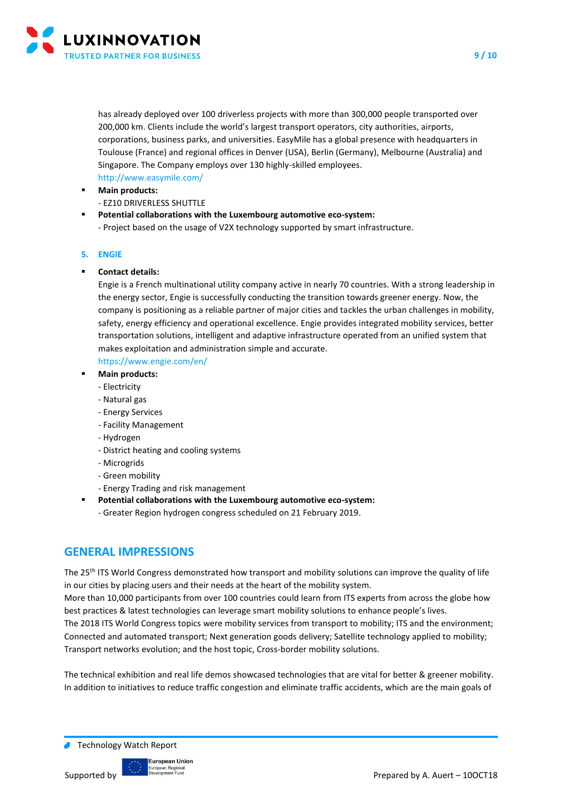

has already deployed over 100 driverless projects with more than 300,000 people transported over 200,000 km. Clients include the world's largest transport operators, city authorities, airports, corporations, business parks, and universities. EasyMile has a global presence with headquarters in Toulouse (France) and regional offices in Denver (USA), Berlin (Germany), Melbourne (Australia) and Singapore. The Company employs over 130 highly-skilled employees. <http://www.easymile.com/>

**Main products:** 

- EZ10 DRIVERLESS SHUTTLE
- **Potential collaborations with the Luxembourg automotive eco-system:**

- Project based on the usage of V2X technology supported by smart infrastructure.

## **5. ENGIE**

## ▪ **Contact details:**

Engie is a French multinational utility company active in nearly 70 countries. With a strong leadership in the energy sector, Engie is successfully conducting the transition towards greener energy. Now, the company is positioning as a reliable partner of major cities and tackles the urban challenges in mobility, safety, energy efficiency and operational excellence. Engie provides integrated mobility services, better transportation solutions, intelligent and adaptive infrastructure operated from an unified system that makes exploitation and administration simple and accurate.

<https://www.engie.com/en/>

- **Main products:** 
	- Electricity
	- Natural gas
	- Energy Services
	- Facility Management
	- Hydrogen
	- District heating and cooling systems
	- Microgrids
	- Green mobility
	- Energy Trading and risk management
- **Potential collaborations with the Luxembourg automotive eco-system:**
	- Greater Region hydrogen congress scheduled on 21 February 2019.

# <span id="page-8-0"></span>**GENERAL IMPRESSIONS**

The 25<sup>th</sup> ITS World Congress demonstrated how transport and mobility solutions can improve the quality of life in our cities by placing users and their needs at the heart of the mobility system.

More than 10,000 participants from over 100 countries could learn from ITS experts from across the globe how best practices & latest technologies can leverage smart mobility solutions to enhance people's lives. The 2018 ITS World Congress topics were mobility services from transport to mobility; ITS and the environment; Connected and automated transport; Next generation goods delivery; Satellite technology applied to mobility; Transport networks evolution; and the host topic, Cross-border mobility solutions.

The technical exhibition and real life demos showcased technologies that are vital for better & greener mobility. In addition to initiatives to reduce traffic congestion and eliminate traffic accidents, which are the main goals of

● Technology Watch Report